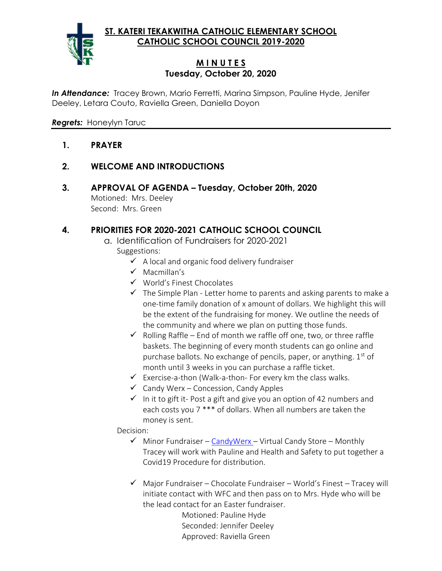**ST. KATERI TEKAKWITHA CATHOLIC ELEMENTARY SCHOOL CATHOLIC SCHOOL COUNCIL 2019-2020**



## **M I N U T E S Tuesday, October 20, 2020**

*In Attendance:* Tracey Brown, Mario Ferretti, Marina Simpson, Pauline Hyde, Jenifer Deeley, Letara Couto, Raviella Green, Daniella Doyon

*Regrets:* Honeylyn Taruc

- **1. PRAYER**
- **2. WELCOME AND INTRODUCTIONS**
- **3. APPROVAL OF AGENDA – Tuesday, October 20th, 2020** Motioned: Mrs. Deeley Second: Mrs. Green

# **4. PRIORITIES FOR 2020-2021 CATHOLIC SCHOOL COUNCIL**

- a. Identification of Fundraisers for 2020-2021 Suggestions:
	- ✓ A local and organic food delivery fundraiser
	- ✓ Macmillan's
	- ✓ World's Finest Chocolates
	- $\checkmark$  The Simple Plan Letter home to parents and asking parents to make a one-time family donation of x amount of dollars. We highlight this will be the extent of the fundraising for money. We outline the needs of the community and where we plan on putting those funds.
	- $\checkmark$  Rolling Raffle End of month we raffle off one, two, or three raffle baskets. The beginning of every month students can go online and purchase ballots. No exchange of pencils, paper, or anything. 1<sup>st</sup> of month until 3 weeks in you can purchase a raffle ticket.
	- $\checkmark$  Exercise-a-thon (Walk-a-thon- For every km the class walks.
	- $\checkmark$  Candy Werx Concession, Candy Apples
	- $\checkmark$  In it to gift it-Post a gift and give you an option of 42 numbers and each costs you 7 \*\*\* of dollars. When all numbers are taken the money is sent.

Decision:

- $\checkmark$  Minor Fundraiser [CandyWerx](http://candiwerx.com/) Virtual Candy Store Monthly Tracey will work with Pauline and Health and Safety to put together a Covid19 Procedure for distribution.
- $\checkmark$  Major Fundraiser Chocolate Fundraiser World's Finest Tracey will initiate contact with WFC and then pass on to Mrs. Hyde who will be the lead contact for an Easter fundraiser.

Motioned: Pauline Hyde Seconded: Jennifer Deeley Approved: Raviella Green